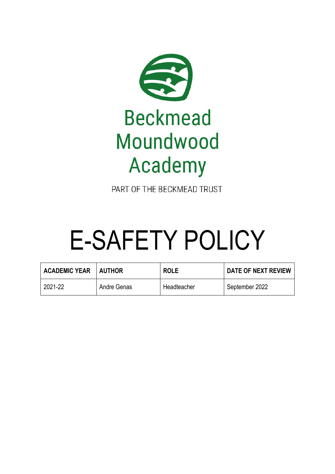

PART OF THE BECKMEAD TRUST

# E-SAFETY POLICY

| <b>ACADEMIC YEAR</b> | <b>AUTHOR</b> | <b>ROLE</b> | DATE OF NEXT REVIEW |
|----------------------|---------------|-------------|---------------------|
| 2021-22              | Andre Genas   | Headteacher | September 2022      |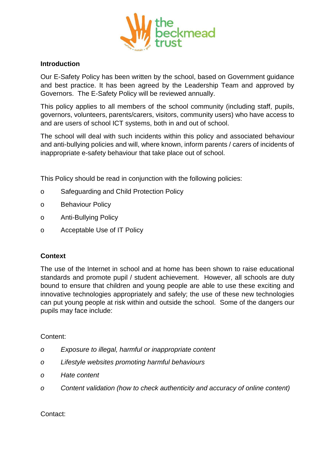

#### **Introduction**

Our E-Safety Policy has been written by the school, based on Government guidance and best practice. It has been agreed by the Leadership Team and approved by Governors. The E-Safety Policy will be reviewed annually.

This policy applies to all members of the school community (including staff, pupils, governors, volunteers, parents/carers, visitors, community users) who have access to and are users of school ICT systems, both in and out of school.

The school will deal with such incidents within this policy and associated behaviour and anti-bullying policies and will, where known, inform parents / carers of incidents of inappropriate e-safety behaviour that take place out of school.

This Policy should be read in conjunction with the following policies:

- o Safeguarding and Child Protection Policy
- o Behaviour Policy
- o Anti-Bullying Policy
- o Acceptable Use of IT Policy

# **Context**

The use of the Internet in school and at home has been shown to raise educational standards and promote pupil / student achievement. However, all schools are duty bound to ensure that children and young people are able to use these exciting and innovative technologies appropriately and safely; the use of these new technologies can put young people at risk within and outside the school. Some of the dangers our pupils may face include:

# Content:

- *o Exposure to illegal, harmful or inappropriate content*
- *o Lifestyle websites promoting harmful behaviours*
- *o Hate content*
- *o Content validation (how to check authenticity and accuracy of online content)*

Contact: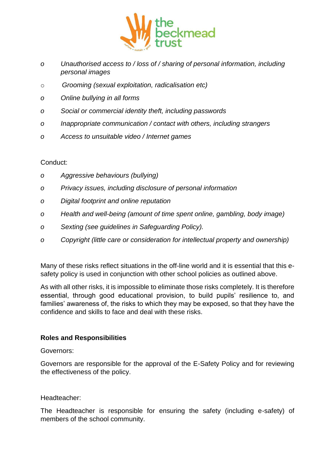

- *o Unauthorised access to / loss of / sharing of personal information, including personal images*
- o *Grooming (sexual exploitation, radicalisation etc)*
- *o Online bullying in all forms*
- *o Social or commercial identity theft, including passwords*
- *o Inappropriate communication / contact with others, including strangers*
- *o Access to unsuitable video / Internet games*

Conduct:

- *o Aggressive behaviours (bullying)*
- *o Privacy issues, including disclosure of personal information*
- *o Digital footprint and online reputation*
- *o Health and well-being (amount of time spent online, gambling, body image)*
- *o Sexting (see guidelines in Safeguarding Policy).*
- *o Copyright (little care or consideration for intellectual property and ownership)*

Many of these risks reflect situations in the off-line world and it is essential that this esafety policy is used in conjunction with other school policies as outlined above.

As with all other risks, it is impossible to eliminate those risks completely. It is therefore essential, through good educational provision, to build pupils' resilience to, and families' awareness of, the risks to which they may be exposed, so that they have the confidence and skills to face and deal with these risks.

# **Roles and Responsibilities**

# Governors:

Governors are responsible for the approval of the E-Safety Policy and for reviewing the effectiveness of the policy.

# Headteacher:

The Headteacher is responsible for ensuring the safety (including e-safety) of members of the school community.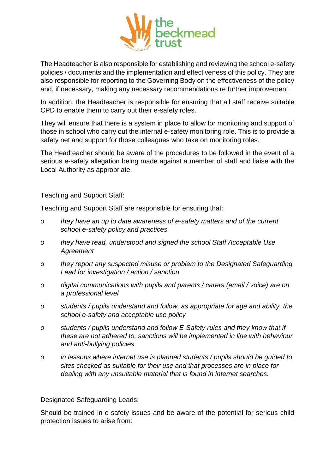

The Headteacher is also responsible for establishing and reviewing the school e-safety policies / documents and the implementation and effectiveness of this policy. They are also responsible for reporting to the Governing Body on the effectiveness of the policy and, if necessary, making any necessary recommendations re further improvement.

In addition, the Headteacher is responsible for ensuring that all staff receive suitable CPD to enable them to carry out their e-safety roles.

They will ensure that there is a system in place to allow for monitoring and support of those in school who carry out the internal e-safety monitoring role. This is to provide a safety net and support for those colleagues who take on monitoring roles.

The Headteacher should be aware of the procedures to be followed in the event of a serious e-safety allegation being made against a member of staff and liaise with the Local Authority as appropriate.

Teaching and Support Staff:

Teaching and Support Staff are responsible for ensuring that:

- *o they have an up to date awareness of e-safety matters and of the current school e-safety policy and practices*
- *o they have read, understood and signed the school Staff Acceptable Use Agreement*
- *o they report any suspected misuse or problem to the Designated Safeguarding Lead for investigation / action / sanction*
- *o digital communications with pupils and parents / carers (email / voice) are on a professional level*
- *o students / pupils understand and follow, as appropriate for age and ability, the school e-safety and acceptable use policy*
- *o students / pupils understand and follow E-Safety rules and they know that if these are not adhered to, sanctions will be implemented in line with behaviour and anti-bullying policies*
- *o in lessons where internet use is planned students / pupils should be guided to sites checked as suitable for their use and that processes are in place for dealing with any unsuitable material that is found in internet searches.*

Designated Safeguarding Leads:

Should be trained in e-safety issues and be aware of the potential for serious child protection issues to arise from: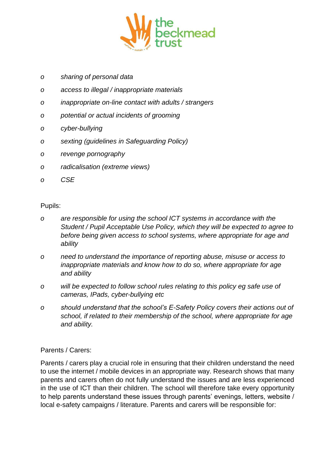

- *o sharing of personal data*
- *o access to illegal / inappropriate materials*
- *o inappropriate on-line contact with adults / strangers*
- *o potential or actual incidents of grooming*
- *o cyber-bullying*
- *o sexting (guidelines in Safeguarding Policy)*
- *o revenge pornography*
- *o radicalisation (extreme views)*
- *o CSE*

#### Pupils:

- *o are responsible for using the school ICT systems in accordance with the Student / Pupil Acceptable Use Policy, which they will be expected to agree to before being given access to school systems, where appropriate for age and ability*
- *o need to understand the importance of reporting abuse, misuse or access to inappropriate materials and know how to do so, where appropriate for age and ability*
- *o will be expected to follow school rules relating to this policy eg safe use of cameras, IPads, cyber-bullying etc*
- *o should understand that the school's E-Safety Policy covers their actions out of school, if related to their membership of the school, where appropriate for age and ability.*

#### Parents / Carers:

Parents / carers play a crucial role in ensuring that their children understand the need to use the internet / mobile devices in an appropriate way. Research shows that many parents and carers often do not fully understand the issues and are less experienced in the use of ICT than their children. The school will therefore take every opportunity to help parents understand these issues through parents' evenings, letters, website / local e-safety campaigns / literature. Parents and carers will be responsible for: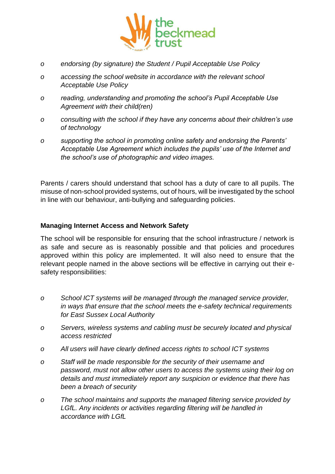

- *o endorsing (by signature) the Student / Pupil Acceptable Use Policy*
- *o accessing the school website in accordance with the relevant school Acceptable Use Policy*
- *o reading, understanding and promoting the school's Pupil Acceptable Use Agreement with their child(ren)*
- *o consulting with the school if they have any concerns about their children's use of technology*
- *o supporting the school in promoting online safety and endorsing the Parents' Acceptable Use Agreement which includes the pupils' use of the Internet and the school's use of photographic and video images.*

Parents / carers should understand that school has a duty of care to all pupils. The misuse of non-school provided systems, out of hours, will be investigated by the school in line with our behaviour, anti-bullying and safeguarding policies.

#### **Managing Internet Access and Network Safety**

The school will be responsible for ensuring that the school infrastructure / network is as safe and secure as is reasonably possible and that policies and procedures approved within this policy are implemented. It will also need to ensure that the relevant people named in the above sections will be effective in carrying out their esafety responsibilities:

- *o School ICT systems will be managed through the managed service provider, in ways that ensure that the school meets the e-safety technical requirements for East Sussex Local Authority*
- *o Servers, wireless systems and cabling must be securely located and physical access restricted*
- *o All users will have clearly defined access rights to school ICT systems*
- *o Staff will be made responsible for the security of their username and password, must not allow other users to access the systems using their log on details and must immediately report any suspicion or evidence that there has been a breach of security*
- *o The school maintains and supports the managed filtering service provided by LGfL. Any incidents or activities regarding filtering will be handled in accordance with LGfL*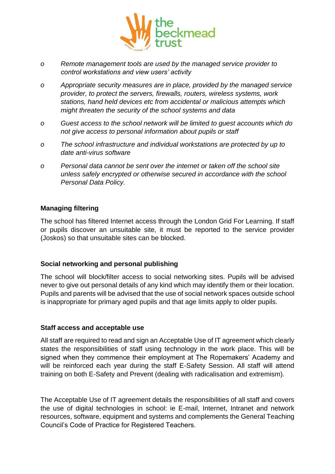

- *o Remote management tools are used by the managed service provider to control workstations and view users' activity*
- *o Appropriate security measures are in place, provided by the managed service provider, to protect the servers, firewalls, routers, wireless systems, work stations, hand held devices etc from accidental or malicious attempts which might threaten the security of the school systems and data*
- *o Guest access to the school network will be limited to guest accounts which do not give access to personal information about pupils or staff*
- *o The school infrastructure and individual workstations are protected by up to date anti-virus software*
- *o Personal data cannot be sent over the internet or taken off the school site unless safely encrypted or otherwise secured in accordance with the school Personal Data Policy.*

#### **Managing filtering**

The school has filtered Internet access through the London Grid For Learning. If staff or pupils discover an unsuitable site, it must be reported to the service provider (Joskos) so that unsuitable sites can be blocked.

# **Social networking and personal publishing**

The school will block/filter access to social networking sites. Pupils will be advised never to give out personal details of any kind which may identify them or their location. Pupils and parents will be advised that the use of social network spaces outside school is inappropriate for primary aged pupils and that age limits apply to older pupils.

#### **Staff access and acceptable use**

All staff are required to read and sign an Acceptable Use of IT agreement which clearly states the responsibilities of staff using technology in the work place. This will be signed when they commence their employment at The Ropemakers' Academy and will be reinforced each year during the staff E-Safety Session. All staff will attend training on both E-Safety and Prevent (dealing with radicalisation and extremism).

The Acceptable Use of IT agreement details the responsibilities of all staff and covers the use of digital technologies in school: ie E-mail, Internet, Intranet and network resources, software, equipment and systems and complements the General Teaching Council's Code of Practice for Registered Teachers.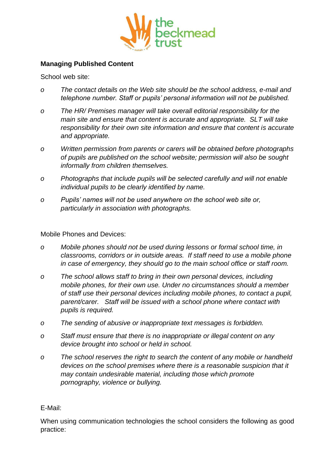

#### **Managing Published Content**

School web site:

- *o The contact details on the Web site should be the school address, e-mail and telephone number. Staff or pupils' personal information will not be published.*
- *o The HR/ Premises manager will take overall editorial responsibility for the main site and ensure that content is accurate and appropriate. SLT will take responsibility for their own site information and ensure that content is accurate and appropriate.*
- *o Written permission from parents or carers will be obtained before photographs of pupils are published on the school website; permission will also be sought informally from children themselves.*
- *o Photographs that include pupils will be selected carefully and will not enable individual pupils to be clearly identified by name.*
- *o Pupils' names will not be used anywhere on the school web site or, particularly in association with photographs.*

#### Mobile Phones and Devices:

- *o Mobile phones should not be used during lessons or formal school time, in classrooms, corridors or in outside areas. If staff need to use a mobile phone in case of emergency, they should go to the main school office or staff room.*
- *o The school allows staff to bring in their own personal devices, including mobile phones, for their own use. Under no circumstances should a member of staff use their personal devices including mobile phones, to contact a pupil, parent/carer. Staff will be issued with a school phone where contact with pupils is required.*
- *o The sending of abusive or inappropriate text messages is forbidden.*
- *o Staff must ensure that there is no inappropriate or illegal content on any device brought into school or held in school.*
- *o The school reserves the right to search the content of any mobile or handheld devices on the school premises where there is a reasonable suspicion that it may contain undesirable material, including those which promote pornography, violence or bullying.*

#### E-Mail:

When using communication technologies the school considers the following as good practice: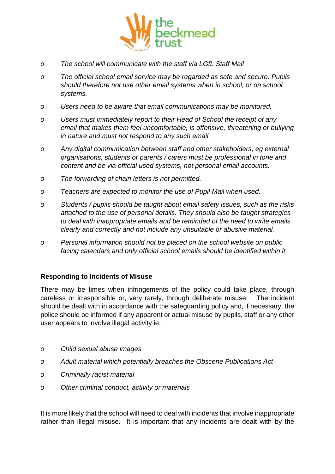

- *o The school will communicate with the staff via LGfL Staff Mail*
- *o The official school email service may be regarded as safe and secure. Pupils should therefore not use other email systems when in school, or on school systems.*
- *o Users need to be aware that email communications may be monitored.*
- *o Users must immediately report to their Head of School the receipt of any*  email that makes them feel uncomfortable, is offensive, threatening or bullying *in nature and must not respond to any such email.*
- *o Any digital communication between staff and other stakeholders, eg external organisations, students or parents / carers must be professional in tone and content and be via official used systems, not personal email accounts.*
- *o The forwarding of chain letters is not permitted.*
- *o Teachers are expected to monitor the use of Pupil Mail when used.*
- *o Students / pupils should be taught about email safety issues, such as the risks attached to the use of personal details. They should also be taught strategies to deal with inappropriate emails and be reminded of the need to write emails clearly and correctly and not include any unsuitable or abusive material.*
- *o Personal information should not be placed on the school website on public facing calendars and only official school emails should be identified within it.*

#### **Responding to Incidents of Misuse**

There may be times when infringements of the policy could take place, through careless or irresponsible or, very rarely, through deliberate misuse. The incident should be dealt with in accordance with the safeguarding policy and, if necessary, the police should be informed if any apparent or actual misuse by pupils, staff or any other user appears to involve illegal activity ie:

- *o Child sexual abuse images*
- *o Adult material which potentially breaches the Obscene Publications Act*
- *o Criminally racist material*
- *o Other criminal conduct, activity or materials*

It is more likely that the school will need to deal with incidents that involve inappropriate rather than illegal misuse. It is important that any incidents are dealt with by the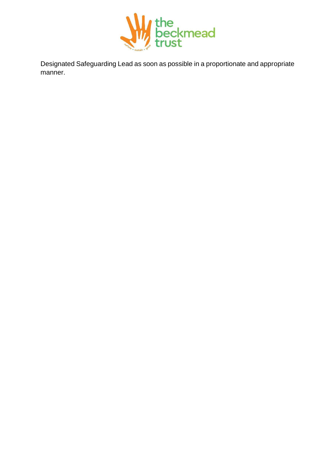

Designated Safeguarding Lead as soon as possible in a proportionate and appropriate manner.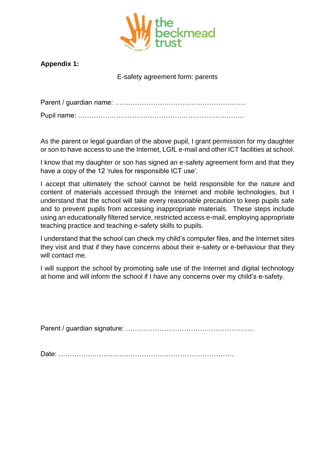

# **Appendix 1:**

E-safety agreement form: parents

Parent / guardian name: ………………………………………………….

Pupil name: ………………………………………………………………..

As the parent or legal guardian of the above pupil, I grant permission for my daughter or son to have access to use the Internet, LGfL e-mail and other ICT facilities at school.

I know that my daughter or son has signed an e-safety agreement form and that they have a copy of the 12 'rules for responsible ICT use'.

I accept that ultimately the school cannot be held responsible for the nature and content of materials accessed through the Internet and mobile technologies, but I understand that the school will take every reasonable precaution to keep pupils safe and to prevent pupils from accessing inappropriate materials. These steps include using an educationally filtered service, restricted access e-mail, employing appropriate teaching practice and teaching e-safety skills to pupils.

I understand that the school can check my child's computer files, and the Internet sites they visit and that if they have concerns about their e-safety or e-behaviour that they will contact me.

I will support the school by promoting safe use of the Internet and digital technology at home and will inform the school if I have any concerns over my child's e-safety.

Parent / guardian signature: …………………………………………………

Date: ……………………………………………………………………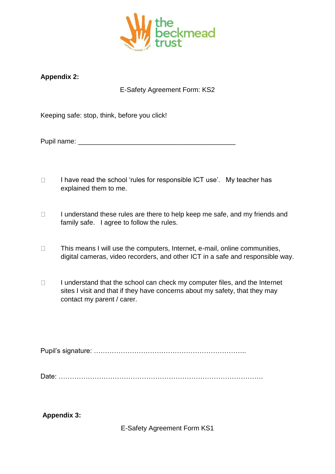

# **Appendix 2:**

# E-Safety Agreement Form: KS2

Keeping safe: stop, think, before you click!

Pupil name: \_\_\_\_\_\_\_\_\_\_\_\_\_\_\_\_\_\_\_\_\_\_\_\_\_\_\_\_\_\_\_\_\_\_\_\_\_\_\_\_\_\_

- $\Box$ I have read the school 'rules for responsible ICT use'. My teacher has explained them to me.
- $\Box$ I understand these rules are there to help keep me safe, and my friends and family safe. I agree to follow the rules.
- $\Box$ This means I will use the computers, Internet, e-mail, online communities, digital cameras, video recorders, and other ICT in a safe and responsible way.
- I understand that the school can check my computer files, and the Internet  $\Box$ sites I visit and that if they have concerns about my safety, that they may contact my parent / carer.

Pupil's signature: …………………………………………………………..

Date: ……………………………………………………………………………….

**Appendix 3:** 

E-Safety Agreement Form KS1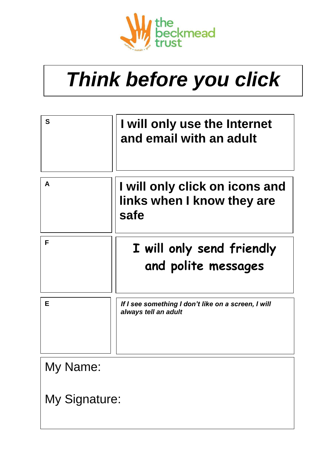

# *Think before you click*

| S             | I will only use the Internet<br>and email with an adult                     |  |
|---------------|-----------------------------------------------------------------------------|--|
| A             | I will only click on icons and<br>links when I know they are<br>safe        |  |
| F             | I will only send friendly<br>and polite messages                            |  |
| E             | If I see something I don't like on a screen, I will<br>always tell an adult |  |
| My Name:      |                                                                             |  |
| My Signature: |                                                                             |  |